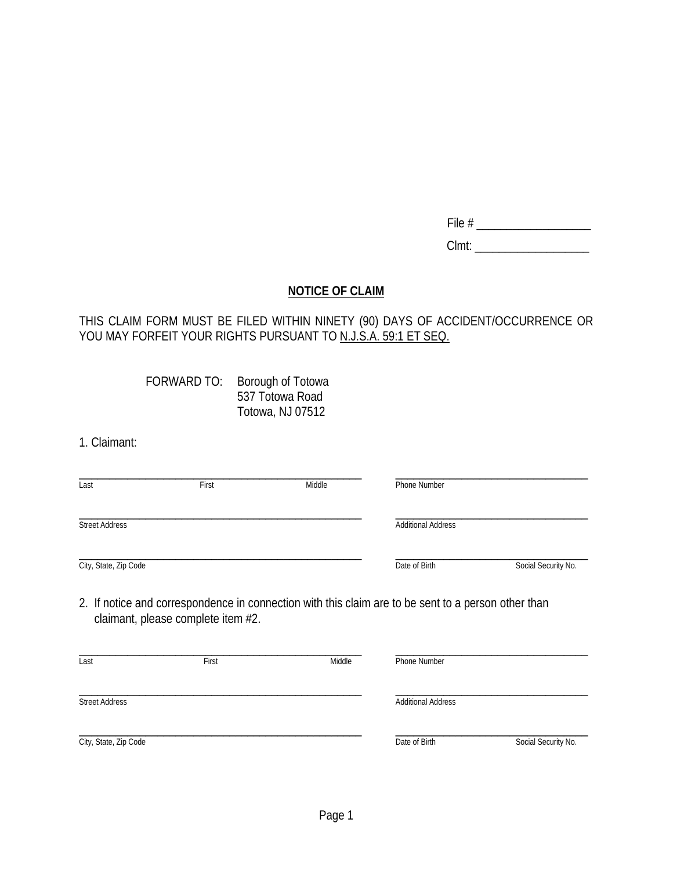| ,, |  |  |
|----|--|--|
|    |  |  |

Clmt: \_\_\_\_\_\_\_\_\_\_\_\_\_\_\_\_\_\_\_

# **NOTICE OF CLAIM**

### THIS CLAIM FORM MUST BE FILED WITHIN NINETY (90) DAYS OF ACCIDENT/OCCURRENCE OR YOU MAY FORFEIT YOUR RIGHTS PURSUANT TO <u>N.J.S.A. 59:1 ET SEQ.</u>

| FORWARD TO: | Borough of Totowa |
|-------------|-------------------|
|             | 537 Totowa Road   |
|             | Totowa, NJ 07512  |

1. Claimant:

| Last                  | First | Middle | Phone Number                                                                                        |                     |
|-----------------------|-------|--------|-----------------------------------------------------------------------------------------------------|---------------------|
| <b>Street Address</b> |       |        | <b>Additional Address</b>                                                                           |                     |
| City, State, Zip Code |       |        | Date of Birth                                                                                       | Social Security No. |
|                       |       |        | 2. If notice and correspondence in connection with this claim are to be sent to a person other than |                     |

2. If notice and correspondence in connection with this claim are to be sent to a person other than claimant, please complete item #2.

| Last                  | First | Middle | Phone Number              |                     |
|-----------------------|-------|--------|---------------------------|---------------------|
|                       |       |        |                           |                     |
| <b>Street Address</b> |       |        | <b>Additional Address</b> |                     |
| City, State, Zip Code |       |        | Date of Birth             | Social Security No. |
|                       |       |        |                           |                     |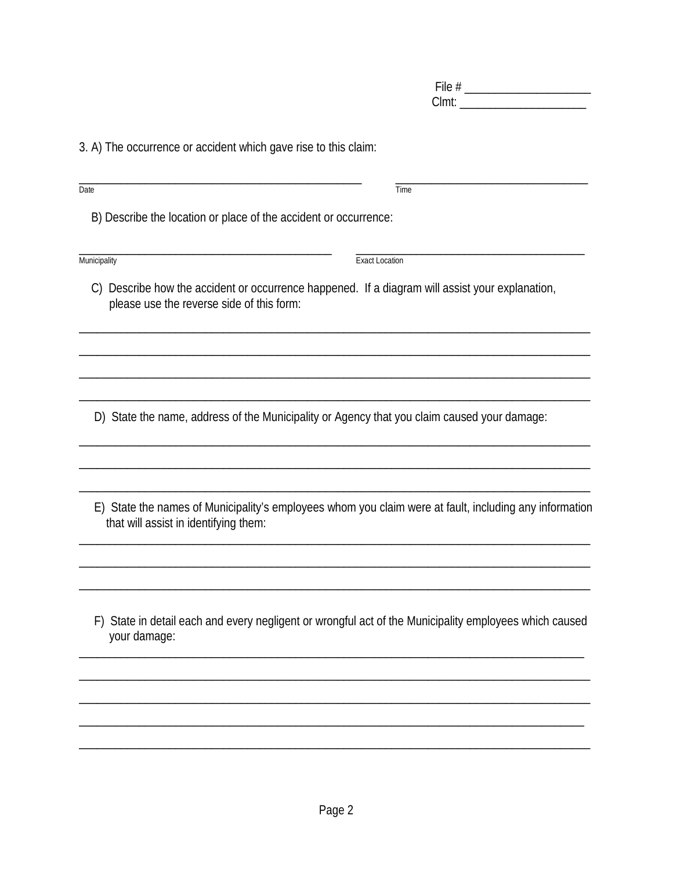3. A) The occurrence or accident which gave rise to this claim:

| Date                                                                                                                                         | Time                                                                                                   |
|----------------------------------------------------------------------------------------------------------------------------------------------|--------------------------------------------------------------------------------------------------------|
| B) Describe the location or place of the accident or occurrence:                                                                             |                                                                                                        |
| Municipality                                                                                                                                 | <b>Exact Location</b>                                                                                  |
| C) Describe how the accident or occurrence happened. If a diagram will assist your explanation,<br>please use the reverse side of this form: |                                                                                                        |
|                                                                                                                                              |                                                                                                        |
| D) State the name, address of the Municipality or Agency that you claim caused your damage:                                                  |                                                                                                        |
|                                                                                                                                              |                                                                                                        |
| that will assist in identifying them:                                                                                                        | E) State the names of Municipality's employees whom you claim were at fault, including any information |
|                                                                                                                                              |                                                                                                        |
| your damage:                                                                                                                                 | F) State in detail each and every negligent or wrongful act of the Municipality employees which caused |
|                                                                                                                                              |                                                                                                        |
|                                                                                                                                              |                                                                                                        |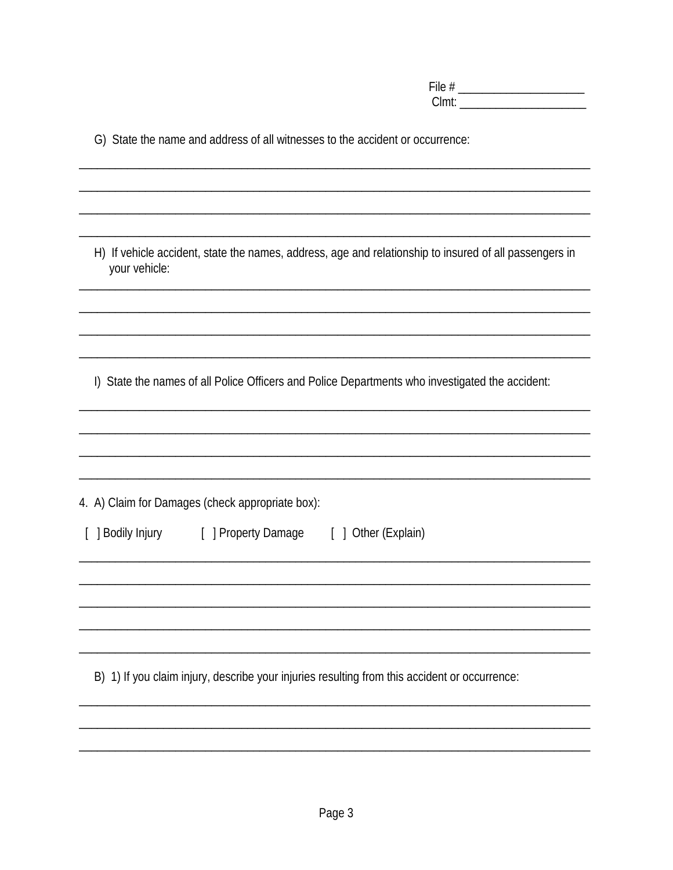|  |  | G) State the name and address of all witnesses to the accident or occurrence: |  |
|--|--|-------------------------------------------------------------------------------|--|
|--|--|-------------------------------------------------------------------------------|--|

H) If vehicle accident, state the names, address, age and relationship to insured of all passengers in your vehicle:

I) State the names of all Police Officers and Police Departments who investigated the accident:

| 4. A) Claim for Damages (check appropriate box):                                              |  |
|-----------------------------------------------------------------------------------------------|--|
| [ ] Bodily Injury [ ] Property Damage [ ] Other (Explain)                                     |  |
|                                                                                               |  |
|                                                                                               |  |
|                                                                                               |  |
| B) 1) If you claim injury, describe your injuries resulting from this accident or occurrence: |  |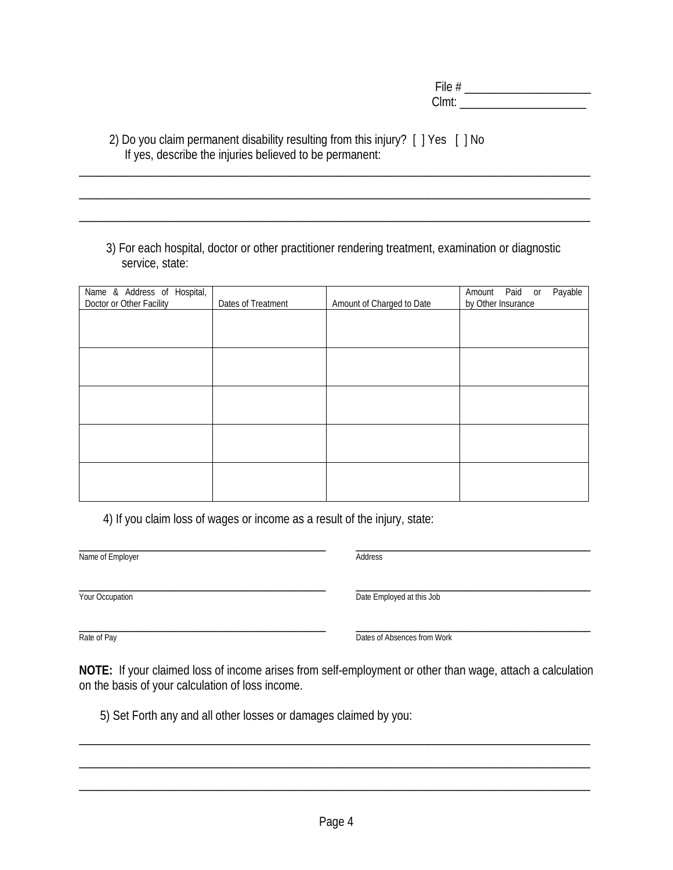File # \_\_\_\_\_\_\_\_\_\_\_\_\_\_\_\_\_\_\_\_\_ Clmt:

 2) Do you claim permanent disability resulting from this injury? [ ] Yes [ ] No If yes, describe the injuries believed to be permanent:

 3) For each hospital, doctor or other practitioner rendering treatment, examination or diagnostic service, state:

\_\_\_\_\_\_\_\_\_\_\_\_\_\_\_\_\_\_\_\_\_\_\_\_\_\_\_\_\_\_\_\_\_\_\_\_\_\_\_\_\_\_\_\_\_\_\_\_\_\_\_\_\_\_\_\_\_\_\_\_\_\_\_\_\_\_\_\_\_\_\_\_\_\_\_\_\_\_\_\_\_\_\_\_\_

\_\_\_\_\_\_\_\_\_\_\_\_\_\_\_\_\_\_\_\_\_\_\_\_\_\_\_\_\_\_\_\_\_\_\_\_\_\_\_\_\_\_\_\_\_\_\_\_\_\_\_\_\_\_\_\_\_\_\_\_\_\_\_\_\_\_\_\_\_\_\_\_\_\_\_\_\_\_\_\_\_\_\_\_\_

\_\_\_\_\_\_\_\_\_\_\_\_\_\_\_\_\_\_\_\_\_\_\_\_\_\_\_\_\_\_\_\_\_\_\_\_\_\_\_\_\_\_\_\_\_\_\_\_\_\_\_\_\_\_\_\_\_\_\_\_\_\_\_\_\_\_\_\_\_\_\_\_\_\_\_\_\_\_\_\_\_\_\_\_\_

| Name & Address of Hospital,<br>Doctor or Other Facility | Dates of Treatment | Amount of Charged to Date | Amount Paid or Payable<br>by Other Insurance |
|---------------------------------------------------------|--------------------|---------------------------|----------------------------------------------|
|                                                         |                    |                           |                                              |
|                                                         |                    |                           |                                              |
|                                                         |                    |                           |                                              |
|                                                         |                    |                           |                                              |
|                                                         |                    |                           |                                              |
|                                                         |                    |                           |                                              |
|                                                         |                    |                           |                                              |
|                                                         |                    |                           |                                              |

4) If you claim loss of wages or income as a result of the injury, state:

\_\_\_\_\_\_\_\_\_\_\_\_\_\_\_\_\_\_\_\_\_\_\_\_\_\_\_\_\_\_\_\_\_\_\_\_\_\_\_\_\_ \_\_\_\_\_\_\_\_\_\_\_\_\_\_\_\_\_\_\_\_\_\_\_\_\_\_\_\_\_\_\_\_\_\_\_\_\_\_\_ Name of Employer **Address** 

\_\_\_\_\_\_\_\_\_\_\_\_\_\_\_\_\_\_\_\_\_\_\_\_\_\_\_\_\_\_\_\_\_\_\_\_\_\_\_\_\_ \_\_\_\_\_\_\_\_\_\_\_\_\_\_\_\_\_\_\_\_\_\_\_\_\_\_\_\_\_\_\_\_\_\_\_\_\_\_\_ **The Compation Compatible Compatible Compatible Compatible Compatible Compatible Compatible Compatible Compatible Compatible Compatible Compatible Compatible Compatible Compatible Compatible Compatible Compatible Compatibl** 

\_\_\_\_\_\_\_\_\_\_\_\_\_\_\_\_\_\_\_\_\_\_\_\_\_\_\_\_\_\_\_\_\_\_\_\_\_\_\_\_\_ \_\_\_\_\_\_\_\_\_\_\_\_\_\_\_\_\_\_\_\_\_\_\_\_\_\_\_\_\_\_\_\_\_\_\_\_\_\_\_ Partie of Pay **Dates of Absences from Work** 

**NOTE:** If your claimed loss of income arises from self-employment or other than wage, attach a calculation on the basis of your calculation of loss income.

\_\_\_\_\_\_\_\_\_\_\_\_\_\_\_\_\_\_\_\_\_\_\_\_\_\_\_\_\_\_\_\_\_\_\_\_\_\_\_\_\_\_\_\_\_\_\_\_\_\_\_\_\_\_\_\_\_\_\_\_\_\_\_\_\_\_\_\_\_\_\_\_\_\_\_\_\_\_\_\_\_\_\_\_\_

\_\_\_\_\_\_\_\_\_\_\_\_\_\_\_\_\_\_\_\_\_\_\_\_\_\_\_\_\_\_\_\_\_\_\_\_\_\_\_\_\_\_\_\_\_\_\_\_\_\_\_\_\_\_\_\_\_\_\_\_\_\_\_\_\_\_\_\_\_\_\_\_\_\_\_\_\_\_\_\_\_\_\_\_\_

\_\_\_\_\_\_\_\_\_\_\_\_\_\_\_\_\_\_\_\_\_\_\_\_\_\_\_\_\_\_\_\_\_\_\_\_\_\_\_\_\_\_\_\_\_\_\_\_\_\_\_\_\_\_\_\_\_\_\_\_\_\_\_\_\_\_\_\_\_\_\_\_\_\_\_\_\_\_\_\_\_\_\_\_\_

Page 4

5) Set Forth any and all other losses or damages claimed by you: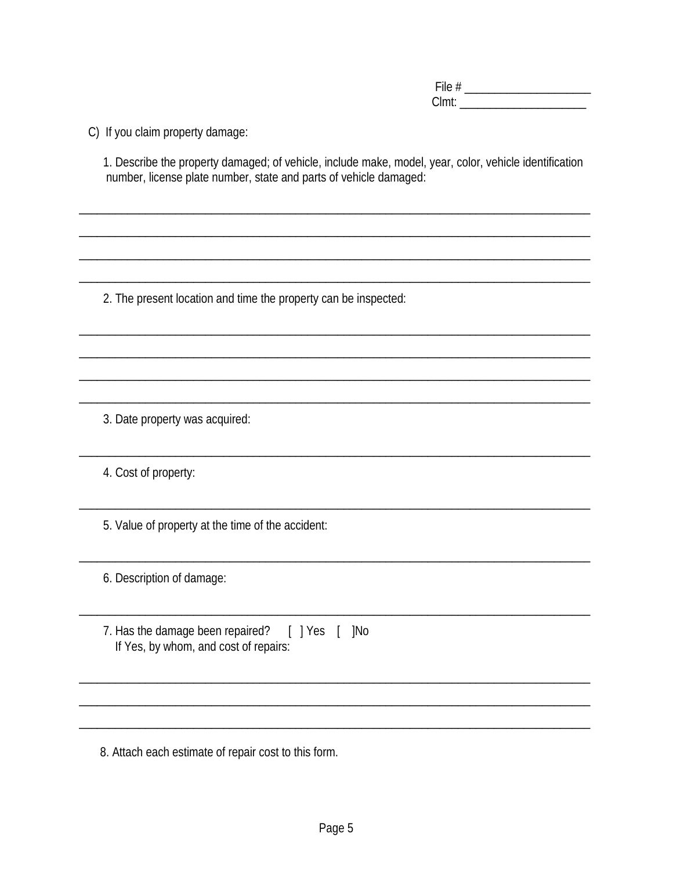Clmt: the contract of the contract of the contract of the contract of the contract of the contract of the contract of the contract of the contract of the contract of the contract of the contract of the contract of the cont

C) If you claim property damage:

1. Describe the property damaged; of vehicle, include make, model, year, color, vehicle identification number, license plate number, state and parts of vehicle damaged:

2. The present location and time the property can be inspected:

3. Date property was acquired:

4. Cost of property:

5. Value of property at the time of the accident:

6. Description of damage:

7. Has the damage been repaired? [ ] Yes [ ] No If Yes, by whom, and cost of repairs:

8. Attach each estimate of repair cost to this form.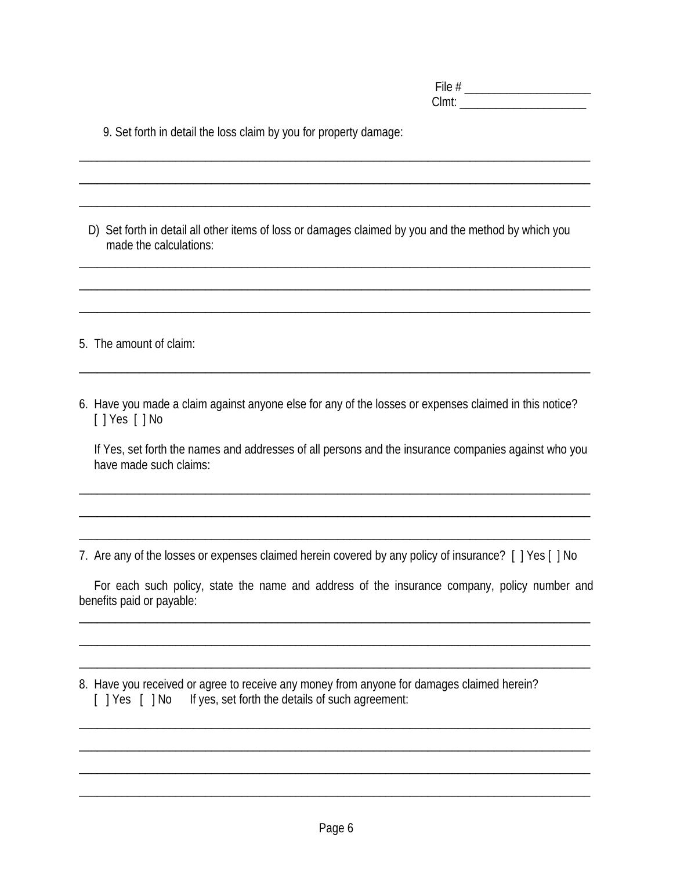File # \_\_\_\_\_\_\_\_\_\_\_\_\_\_\_\_\_\_\_\_\_ Clmt: \_\_\_\_\_\_\_\_\_\_\_\_\_\_\_\_\_\_\_\_\_

| 9. Set forth in detail the loss claim by you for property damage: |
|-------------------------------------------------------------------|
|-------------------------------------------------------------------|

D) Set forth in detail all other items of loss or damages claimed by you and the method by which you made the calculations:

\_\_\_\_\_\_\_\_\_\_\_\_\_\_\_\_\_\_\_\_\_\_\_\_\_\_\_\_\_\_\_\_\_\_\_\_\_\_\_\_\_\_\_\_\_\_\_\_\_\_\_\_\_\_\_\_\_\_\_\_\_\_\_\_\_\_\_\_\_\_\_\_\_\_\_\_\_\_\_\_\_\_\_\_\_

\_\_\_\_\_\_\_\_\_\_\_\_\_\_\_\_\_\_\_\_\_\_\_\_\_\_\_\_\_\_\_\_\_\_\_\_\_\_\_\_\_\_\_\_\_\_\_\_\_\_\_\_\_\_\_\_\_\_\_\_\_\_\_\_\_\_\_\_\_\_\_\_\_\_\_\_\_\_\_\_\_\_\_\_\_

\_\_\_\_\_\_\_\_\_\_\_\_\_\_\_\_\_\_\_\_\_\_\_\_\_\_\_\_\_\_\_\_\_\_\_\_\_\_\_\_\_\_\_\_\_\_\_\_\_\_\_\_\_\_\_\_\_\_\_\_\_\_\_\_\_\_\_\_\_\_\_\_\_\_\_\_\_\_\_\_\_\_\_\_\_

\_\_\_\_\_\_\_\_\_\_\_\_\_\_\_\_\_\_\_\_\_\_\_\_\_\_\_\_\_\_\_\_\_\_\_\_\_\_\_\_\_\_\_\_\_\_\_\_\_\_\_\_\_\_\_\_\_\_\_\_\_\_\_\_\_\_\_\_\_\_\_\_\_\_\_\_\_\_\_\_\_\_\_\_\_

\_\_\_\_\_\_\_\_\_\_\_\_\_\_\_\_\_\_\_\_\_\_\_\_\_\_\_\_\_\_\_\_\_\_\_\_\_\_\_\_\_\_\_\_\_\_\_\_\_\_\_\_\_\_\_\_\_\_\_\_\_\_\_\_\_\_\_\_\_\_\_\_\_\_\_\_\_\_\_\_\_\_\_\_\_

\_\_\_\_\_\_\_\_\_\_\_\_\_\_\_\_\_\_\_\_\_\_\_\_\_\_\_\_\_\_\_\_\_\_\_\_\_\_\_\_\_\_\_\_\_\_\_\_\_\_\_\_\_\_\_\_\_\_\_\_\_\_\_\_\_\_\_\_\_\_\_\_\_\_\_\_\_\_\_\_\_\_\_\_\_

\_\_\_\_\_\_\_\_\_\_\_\_\_\_\_\_\_\_\_\_\_\_\_\_\_\_\_\_\_\_\_\_\_\_\_\_\_\_\_\_\_\_\_\_\_\_\_\_\_\_\_\_\_\_\_\_\_\_\_\_\_\_\_\_\_\_\_\_\_\_\_\_\_\_\_\_\_\_\_\_\_\_\_\_\_

5. The amount of claim:

6. Have you made a claim against anyone else for any of the losses or expenses claimed in this notice? [ ] Yes [ ] No

 If Yes, set forth the names and addresses of all persons and the insurance companies against who you have made such claims:

\_\_\_\_\_\_\_\_\_\_\_\_\_\_\_\_\_\_\_\_\_\_\_\_\_\_\_\_\_\_\_\_\_\_\_\_\_\_\_\_\_\_\_\_\_\_\_\_\_\_\_\_\_\_\_\_\_\_\_\_\_\_\_\_\_\_\_\_\_\_\_\_\_\_\_\_\_\_\_\_\_\_\_\_\_

\_\_\_\_\_\_\_\_\_\_\_\_\_\_\_\_\_\_\_\_\_\_\_\_\_\_\_\_\_\_\_\_\_\_\_\_\_\_\_\_\_\_\_\_\_\_\_\_\_\_\_\_\_\_\_\_\_\_\_\_\_\_\_\_\_\_\_\_\_\_\_\_\_\_\_\_\_\_\_\_\_\_\_\_\_

\_\_\_\_\_\_\_\_\_\_\_\_\_\_\_\_\_\_\_\_\_\_\_\_\_\_\_\_\_\_\_\_\_\_\_\_\_\_\_\_\_\_\_\_\_\_\_\_\_\_\_\_\_\_\_\_\_\_\_\_\_\_\_\_\_\_\_\_\_\_\_\_\_\_\_\_\_\_\_\_\_\_\_\_\_

7. Are any of the losses or expenses claimed herein covered by any policy of insurance? [ ] Yes [ ] No

 For each such policy, state the name and address of the insurance company, policy number and benefits paid or payable:

\_\_\_\_\_\_\_\_\_\_\_\_\_\_\_\_\_\_\_\_\_\_\_\_\_\_\_\_\_\_\_\_\_\_\_\_\_\_\_\_\_\_\_\_\_\_\_\_\_\_\_\_\_\_\_\_\_\_\_\_\_\_\_\_\_\_\_\_\_\_\_\_\_\_\_\_\_\_\_\_\_\_\_\_\_

\_\_\_\_\_\_\_\_\_\_\_\_\_\_\_\_\_\_\_\_\_\_\_\_\_\_\_\_\_\_\_\_\_\_\_\_\_\_\_\_\_\_\_\_\_\_\_\_\_\_\_\_\_\_\_\_\_\_\_\_\_\_\_\_\_\_\_\_\_\_\_\_\_\_\_\_\_\_\_\_\_\_\_\_\_

\_\_\_\_\_\_\_\_\_\_\_\_\_\_\_\_\_\_\_\_\_\_\_\_\_\_\_\_\_\_\_\_\_\_\_\_\_\_\_\_\_\_\_\_\_\_\_\_\_\_\_\_\_\_\_\_\_\_\_\_\_\_\_\_\_\_\_\_\_\_\_\_\_\_\_\_\_\_\_\_\_\_\_\_\_

\_\_\_\_\_\_\_\_\_\_\_\_\_\_\_\_\_\_\_\_\_\_\_\_\_\_\_\_\_\_\_\_\_\_\_\_\_\_\_\_\_\_\_\_\_\_\_\_\_\_\_\_\_\_\_\_\_\_\_\_\_\_\_\_\_\_\_\_\_\_\_\_\_\_\_\_\_\_\_\_\_\_\_\_\_

\_\_\_\_\_\_\_\_\_\_\_\_\_\_\_\_\_\_\_\_\_\_\_\_\_\_\_\_\_\_\_\_\_\_\_\_\_\_\_\_\_\_\_\_\_\_\_\_\_\_\_\_\_\_\_\_\_\_\_\_\_\_\_\_\_\_\_\_\_\_\_\_\_\_\_\_\_\_\_\_\_\_\_\_\_

\_\_\_\_\_\_\_\_\_\_\_\_\_\_\_\_\_\_\_\_\_\_\_\_\_\_\_\_\_\_\_\_\_\_\_\_\_\_\_\_\_\_\_\_\_\_\_\_\_\_\_\_\_\_\_\_\_\_\_\_\_\_\_\_\_\_\_\_\_\_\_\_\_\_\_\_\_\_\_\_\_\_\_\_\_

\_\_\_\_\_\_\_\_\_\_\_\_\_\_\_\_\_\_\_\_\_\_\_\_\_\_\_\_\_\_\_\_\_\_\_\_\_\_\_\_\_\_\_\_\_\_\_\_\_\_\_\_\_\_\_\_\_\_\_\_\_\_\_\_\_\_\_\_\_\_\_\_\_\_\_\_\_\_\_\_\_\_\_\_\_

8. Have you received or agree to receive any money from anyone for damages claimed herein? [ ] Yes [ ] No If yes, set forth the details of such agreement: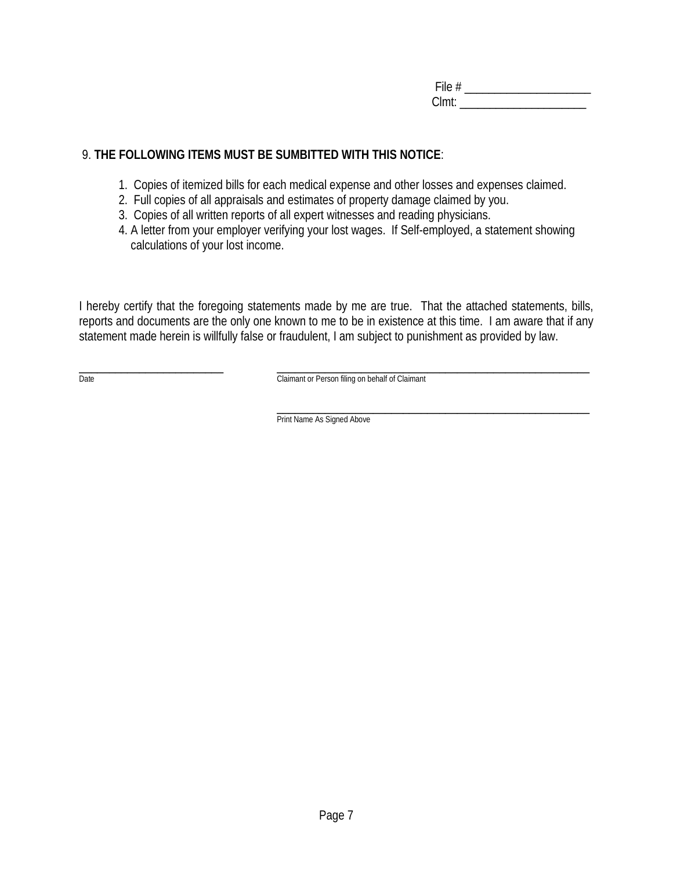File # \_\_\_\_\_\_\_\_\_\_\_\_\_\_\_\_\_\_\_\_\_ Clmt:

# 9. **THE FOLLOWING ITEMS MUST BE SUMBITTED WITH THIS NOTICE**:

- 1. Copies of itemized bills for each medical expense and other losses and expenses claimed.
- 2. Full copies of all appraisals and estimates of property damage claimed by you.
- 3. Copies of all written reports of all expert witnesses and reading physicians.
- 4. A letter from your employer verifying your lost wages. If Self-employed, a statement showing calculations of your lost income.

I hereby certify that the foregoing statements made by me are true. That the attached statements, bills, reports and documents are the only one known to me to be in existence at this time. I am aware that if any statement made herein is willfully false or fraudulent, I am subject to punishment as provided by law.

\_\_\_\_\_\_\_\_\_\_\_\_\_\_\_\_\_\_\_\_\_\_\_\_ \_\_\_\_\_\_\_\_\_\_\_\_\_\_\_\_\_\_\_\_\_\_\_\_\_\_\_\_\_\_\_\_\_\_\_\_\_\_\_\_\_\_\_\_\_\_\_\_\_\_\_\_ Date Claimant or Person filing on behalf of Claimant

> \_\_\_\_\_\_\_\_\_\_\_\_\_\_\_\_\_\_\_\_\_\_\_\_\_\_\_\_\_\_\_\_\_\_\_\_\_\_\_\_\_\_\_\_\_\_\_\_\_\_\_\_ Print Name As Signed Above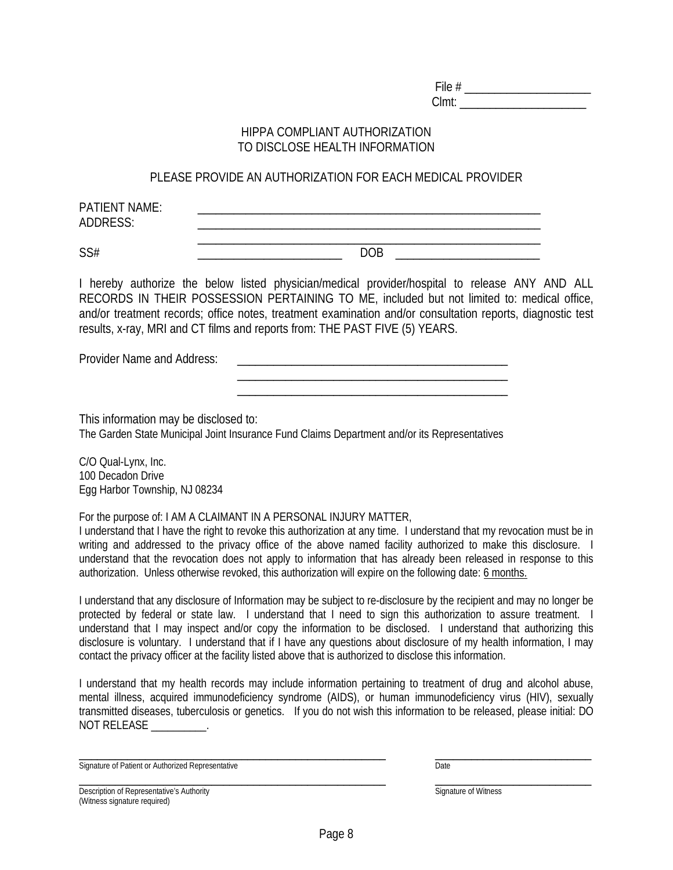File # \_\_\_\_\_\_\_\_\_\_\_\_\_\_\_\_\_\_\_\_\_ Clmt: \_\_\_\_\_\_\_\_\_\_\_\_\_\_\_\_\_\_\_\_\_

#### HIPPA COMPLIANT AUTHORIZATION TO DISCLOSE HEALTH INFORMATION

#### PLEASE PROVIDE AN AUTHORIZATION FOR EACH MEDICAL PROVIDER

| <b>PATIENT NAME:</b> |  |  |
|----------------------|--|--|
| ADDRESS:             |  |  |
|                      |  |  |

SS# \_\_\_\_\_\_\_\_\_\_\_\_\_\_\_\_\_\_\_\_\_\_\_\_ DOB \_\_\_\_\_\_\_\_\_\_\_\_\_\_\_\_\_\_\_\_\_\_\_\_

\_\_\_\_\_\_\_\_\_\_\_\_\_\_\_\_\_\_\_\_\_\_\_\_\_\_\_\_\_\_\_\_\_\_\_\_\_\_\_\_\_\_\_\_\_ \_\_\_\_\_\_\_\_\_\_\_\_\_\_\_\_\_\_\_\_\_\_\_\_\_\_\_\_\_\_\_\_\_\_\_\_\_\_\_\_\_\_\_\_\_

I hereby authorize the below listed physician/medical provider/hospital to release ANY AND ALL RECORDS IN THEIR POSSESSION PERTAINING TO ME, included but not limited to: medical office, and/or treatment records; office notes, treatment examination and/or consultation reports, diagnostic test results, x-ray, MRI and CT films and reports from: THE PAST FIVE (5) YEARS.

Provider Name and Address:

This information may be disclosed to:

The Garden State Municipal Joint Insurance Fund Claims Department and/or its Representatives

C/O Qual-Lynx, Inc. 100 Decadon Drive Egg Harbor Township, NJ 08234

For the purpose of: I AM A CLAIMANT IN A PERSONAL INJURY MATTER,

I understand that I have the right to revoke this authorization at any time. I understand that my revocation must be in writing and addressed to the privacy office of the above named facility authorized to make this disclosure. I understand that the revocation does not apply to information that has already been released in response to this authorization. Unless otherwise revoked, this authorization will expire on the following date: 6 months.

I understand that any disclosure of Information may be subject to re-disclosure by the recipient and may no longer be protected by federal or state law. I understand that I need to sign this authorization to assure treatment. I understand that I may inspect and/or copy the information to be disclosed. I understand that authorizing this disclosure is voluntary. I understand that if I have any questions about disclosure of my health information, I may contact the privacy officer at the facility listed above that is authorized to disclose this information.

I understand that my health records may include information pertaining to treatment of drug and alcohol abuse, mental illness, acquired immunodeficiency syndrome (AIDS), or human immunodeficiency virus (HIV), sexually transmitted diseases, tuberculosis or genetics. If you do not wish this information to be released, please initial: DO NOT RELEASE \_\_\_\_\_\_\_\_\_\_.

\_\_\_\_\_\_\_\_\_\_\_\_\_\_\_\_\_\_\_\_\_\_\_\_\_\_\_\_\_\_\_\_\_\_\_\_\_\_\_\_\_\_\_\_\_\_\_\_\_\_\_ \_\_\_\_\_\_\_\_\_\_\_\_\_\_\_\_\_\_\_\_\_\_\_\_\_\_ Signature of Patient or Authorized Representative Date Date

\_\_\_\_\_\_\_\_\_\_\_\_\_\_\_\_\_\_\_\_\_\_\_\_\_\_\_\_\_\_\_\_\_\_\_\_\_\_\_\_\_\_\_\_\_\_\_\_\_\_\_ \_\_\_\_\_\_\_\_\_\_\_\_\_\_\_\_\_\_\_\_\_\_\_\_\_\_ Description of Representative's Authority Signature of Witness (Witness signature required)